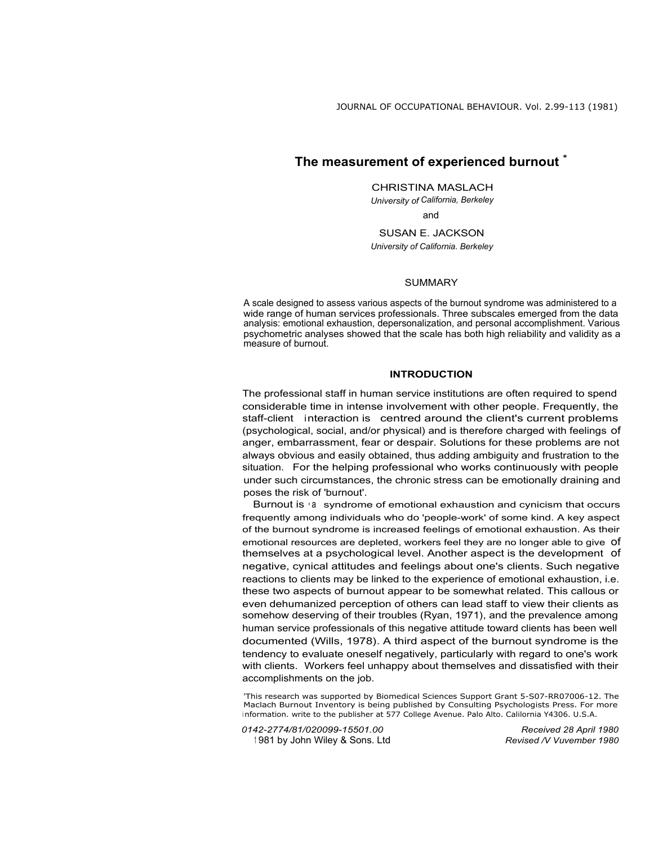# **The measurement of experienced burnout \***

CHRISTINA MASLACH *University of California, Berkeley* and

SUSAN E. JACKSON *University of California. Berkeley*

#### SUMMARY

A scale designed to assess various aspects of the burnout syndrome was administered to a wide range of human services professionals. Three subscales emerged from the data analysis: emotional exhaustion, depersonalization, and personal accomplishment. Various psychometric analyses showed that the scale has both high reliability and validity as a measure of burnout.

# **INTRODUCTION**

The professional staff in human service institutions are often required to spend considerable time in intense involvement with other people. Frequently, the staff-client interaction is centred around the client's current problems (psychological, social, and/or physical) and is therefore charged with feelings of anger, embarrassment, fear or despair. Solutions for these problems are not always obvious and easily obtained, thus adding ambiguity and frustration to the situation. For the helping professional who works continuously with people under such circumstances, the chronic stress can be emotionally draining and poses the risk of 'burnout'.

Burnout is 'a syndrome of emotional exhaustion and cynicism that occurs frequently among individuals who do 'people-work' of some kind. A key aspect of the burnout syndrome is increased feelings of emotional exhaustion. As their emotional resources are depleted, workers feel they are no longer able to give of themselves at a psychological level. Another aspect is the development of negative, cynical attitudes and feelings about one's clients. Such negative reactions to clients may be linked to the experience of emotional exhaustion, i.e. these two aspects of burnout appear to be somewhat related. This callous or even dehumanized perception of others can lead staff to view their clients as somehow deserving of their troubles (Ryan, 1971), and the prevalence among human service professionals of this negative attitude toward clients has been well documented (Wills, 1978). A third aspect of the burnout syndrome is the tendency to evaluate oneself negatively, particularly with regard to one's work with clients. Workers feel unhappy about themselves and dissatisfied with their accomplishments on the job.

'This research was supported by Biomedical Sciences Support Grant 5-S07-RR07006-12. The Maclach Burnout Inventory is being published by Consulting Psychologists Press. For more <sup>i</sup> nformation. write to the publisher at 577 College Avenue. Palo Alto. Calilornia Y4306. U.S.A.

*0142-2774/81/020099-15501.00 Received 28 April 1980* <sup>1</sup> 981 by John Wiley & Sons. Ltd *Revised /V Vuvember 1980*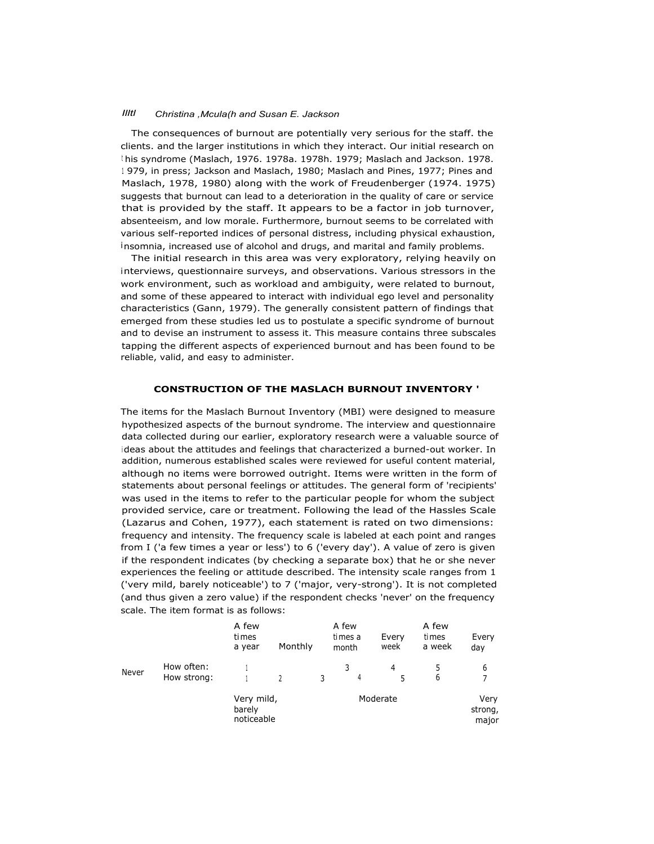# *Illtl Christina ,Mcula(h and Susan E. Jackson*

The consequences of burnout are potentially very serious for the staff. the clients. and the larger institutions in which they interact. Our initial research on <sup>t</sup> his syndrome (Maslach, 1976. 1978a. 1978h. 1979; Maslach and Jackson. 1978. <sup>1</sup> 979, in press; Jackson and Maslach, 1980; Maslach and Pines, 1977; Pines and Maslach, 1978, 1980) along with the work of Freudenberger (1974. 1975) suggests that burnout can lead to a deterioration in the quality of care or service that is provided by the staff. It appears to be a factor in job turnover, absenteeism, and low morale. Furthermore, burnout seems to be correlated with various self-reported indices of personal distress, including physical exhaustion, insomnia, increased use of alcohol and drugs, and marital and family problems.

The initial research in this area was very exploratory, relying heavily on interviews, questionnaire surveys, and observations. Various stressors in the work environment, such as workload and ambiguity, were related to burnout, and some of these appeared to interact with individual ego level and personality characteristics (Gann, 1979). The generally consistent pattern of findings that emerged from these studies led us to postulate a specific syndrome of burnout and to devise an instrument to assess it. This measure contains three subscales tapping the different aspects of experienced burnout and has been found to be reliable, valid, and easy to administer.

# **CONSTRUCTION OF THE MASLACH BURNOUT INVENTORY '**

The items for the Maslach Burnout Inventory (MBI) were designed to measure hypothesized aspects of the burnout syndrome. The interview and questionnaire data collected during our earlier, exploratory research were a valuable source of ideas about the attitudes and feelings that characterized a burned-out worker. In addition, numerous established scales were reviewed for useful content material, although no items were borrowed outright. Items were written in the form of statements about personal feelings or attitudes. The general form of 'recipients' was used in the items to refer to the particular people for whom the subject provided service, care or treatment. Following the lead of the Hassles Scale (Lazarus and Cohen, 1977), each statement is rated on two dimensions: frequency and intensity. The frequency scale is labeled at each point and ranges from I ('a few times a year or less') to 6 ('every day'). A value of zero is given if the respondent indicates (by checking a separate box) that he or she never experiences the feeling or attitude described. The intensity scale ranges from 1 ('very mild, barely noticeable') to 7 ('major, very-strong'). It is not completed (and thus given a zero value) if the respondent checks 'never' on the frequency scale. The item format is as follows:

|       |                           | A few<br>ti mes<br>a year          | Monthly |   | A few<br>times a<br>month | Every<br>week            | A few<br>ti mes<br>a week | Every<br>day        |
|-------|---------------------------|------------------------------------|---------|---|---------------------------|--------------------------|---------------------------|---------------------|
| Never | How often:<br>How strong: |                                    |         | 3 | 3<br>4                    | 4                        | 6                         | 6<br>$\overline{7}$ |
|       |                           | Very mild,<br>barely<br>noticeable |         |   | Moderate                  | Very<br>strong,<br>major |                           |                     |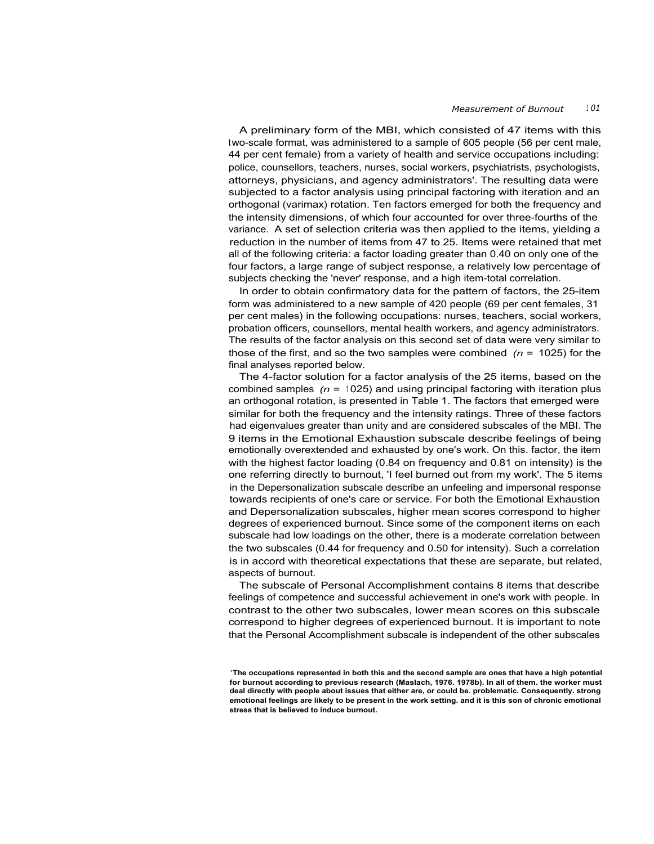#### *Measurement of Burnout <sup>1</sup> 01*

A preliminary form of the MBI, which consisted of 47 items with this two-scale format, was administered to a sample of 605 people (56 per cent male, 44 per cent female) from a variety of health and service occupations including: police, counsellors, teachers, nurses, social workers, psychiatrists, psychologists, attorneys, physicians, and agency administrators'. The resulting data were subjected to a factor analysis using principal factoring with iteration and an orthogonal (varimax) rotation. Ten factors emerged for both the frequency and the intensity dimensions, of which four accounted for over three-fourths of the variance. A set of selection criteria was then applied to the items, yielding a reduction in the number of items from 47 to 25. Items were retained that met all of the following criteria: a factor loading greater than 0.40 on only one of the four factors, a large range of subject response, a relatively low percentage of subjects checking the 'never' response, and a high item-total correlation.

In order to obtain confirmatory data for the pattern of factors, the 25-item form was administered to a new sample of 420 people (69 per cent females, 31 per cent males) in the following occupations: nurses, teachers, social workers, probation officers, counsellors, mental health workers, and agency administrators. The results of the factor analysis on this second set of data were very similar to those of the first, and so the two samples were combined *(n =* 1025) for the final analyses reported below.

The 4-factor solution for a factor analysis of the 25 items, based on the combined samples  $(n = 1025)$  and using principal factoring with iteration plus an orthogonal rotation, is presented in Table 1. The factors that emerged were similar for both the frequency and the intensity ratings. Three of these factors had eigenvalues greater than unity and are considered subscales of the MBI. The 9 items in the Emotional Exhaustion subscale describe feelings of being emotionally overextended and exhausted by one's work. On this. factor, the item with the highest factor loading (0.84 on frequency and 0.81 on intensity) is the one referring directly to burnout, 'I feel burned out from my work'. The 5 items in the Depersonalization subscale describe an unfeeling and impersonal response towards recipients of one's care or service. For both the Emotional Exhaustion and Depersonalization subscales, higher mean scores correspond to higher degrees of experienced burnout. Since some of the component items on each subscale had low loadings on the other, there is a moderate correlation between the two subscales (0.44 for frequency and 0.50 for intensity). Such a correlation is in accord with theoretical expectations that these are separate, but related, aspects of burnout.

The subscale of Personal Accomplishment contains 8 items that describe feelings of competence and successful achievement in one's work with people. In contrast to the other two subscales, lower mean scores on this subscale correspond to higher degrees of experienced burnout. It is important to note that the Personal Accomplishment subscale is independent of the other subscales

**<sup>&#</sup>x27; The occupations represented in both this and the second sample are ones that have a high potential for burnout according to previous research (Maslach, 1976. 1978b). In all of them. the worker must deal directly with people about issues that either are, or could be. problematic. Consequently. strong emotional feelings are likely to be present in the work setting. and it is this son of chronic emotional stress that is believed to induce burnout.**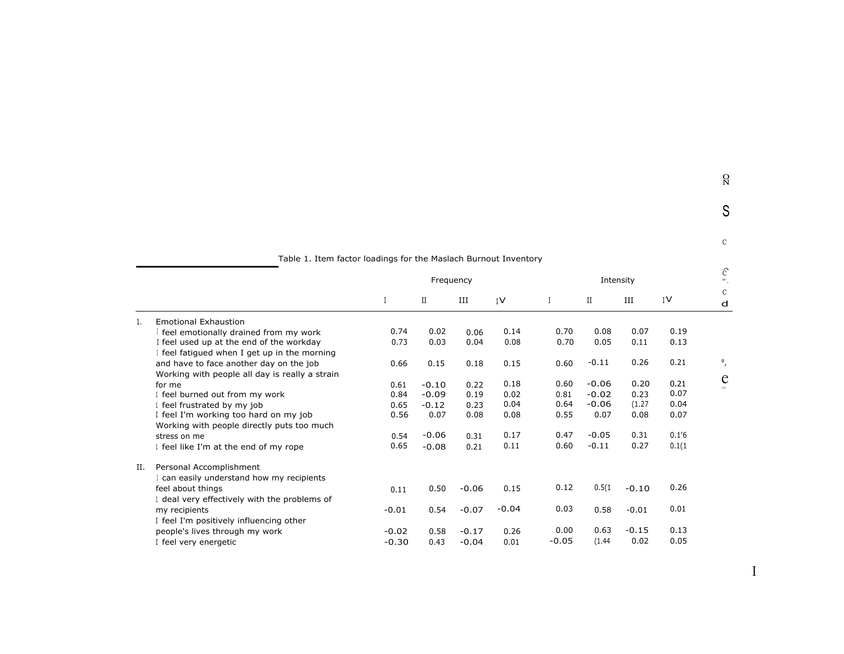| Table 1. Item factor loadings for the Maslach Burnout Inventory |  |
|-----------------------------------------------------------------|--|
|-----------------------------------------------------------------|--|

|    |                                                | Frequency |         |         |              | Intensity |         |         |        | $\widehat{\mathbb{C}}$<br>$11\cdot$ |
|----|------------------------------------------------|-----------|---------|---------|--------------|-----------|---------|---------|--------|-------------------------------------|
|    |                                                | Ι         | П       | Ш       | $\mathbf{V}$ | Ι         | П       | III     | IV     | $\mathbf C$<br>d                    |
| 1. | <b>Emotional Exhaustion</b>                    |           |         |         |              |           |         |         |        |                                     |
|    | feel emotionally drained from my work          | 0.74      | 0.02    | 0.06    | 0.14         | 0.70      | 0.08    | 0.07    | 0.19   |                                     |
|    | I feel used up at the end of the workday       | 0.73      | 0.03    | 0.04    | 0.08         | 0.70      | 0.05    | 0.11    | 0.13   |                                     |
|    | I feel fatigued when I get up in the morning   |           |         |         |              |           |         |         |        |                                     |
|    | and have to face another day on the job        | 0.66      | 0.15    | 0.18    | 0.15         | 0.60      | $-0.11$ | 0.26    | 0.21   | $\circ$ ,                           |
|    | Working with people all day is really a strain |           |         |         |              |           |         |         |        |                                     |
|    | for me                                         | 0.61      | $-0.10$ | 0.22    | 0.18         | 0.60      | $-0.06$ | 0.20    | 0.21   | e<br>.13                            |
|    | 1 feel burned out from my work                 | 0.84      | $-0.09$ | 0.19    | 0.02         | 0.81      | $-0.02$ | 0.23    | 0.07   |                                     |
|    | 1 feel frustrated by my job                    | 0.65      | $-0.12$ | 0.23    | 0.04         | 0.64      | $-0.06$ | (1.27)  | 0.04   |                                     |
|    | I feel I'm working too hard on my job          | 0.56      | 0.07    | 0.08    | 0.08         | 0.55      | 0.07    | 0.08    | 0.07   |                                     |
|    | Working with people directly puts too much     |           |         |         |              |           |         |         |        |                                     |
|    | stress on me                                   | 0.54      | $-0.06$ | 0.31    | 0.17         | 0.47      | $-0.05$ | 0.31    | 0.1'6  |                                     |
|    | 1 feel like I'm at the end of my rope          | 0.65      | $-0.08$ | 0.21    | 0.11         | 0.60      | $-0.11$ | 0.27    | 0.1(1) |                                     |
| Н. | Personal Accomplishment                        |           |         |         |              |           |         |         |        |                                     |
|    | can easily understand how my recipients        |           |         |         |              |           |         |         |        |                                     |
|    | feel about things                              | 0.11      | 0.50    | $-0.06$ | 0.15         | 0.12      | 0.5(1)  | $-0.10$ | 0.26   |                                     |
|    | 1 deal very effectively with the problems of   |           |         |         |              |           |         |         |        |                                     |
|    | my recipients                                  | $-0.01$   | 0.54    | $-0.07$ | $-0.04$      | 0.03      | 0.58    | $-0.01$ | 0.01   |                                     |
|    | I feel I'm positively influencing other        |           |         |         |              |           |         |         |        |                                     |
|    | people's lives through my work                 | $-0.02$   | 0.58    | $-0.17$ | 0.26         | 0.00      | 0.63    | $-0.15$ | 0.13   |                                     |
|    | I feel very energetic                          | $-0.30$   | 0.43    | $-0.04$ | 0.01         | $-0.05$   | (1.44)  | 0.02    | 0.05   |                                     |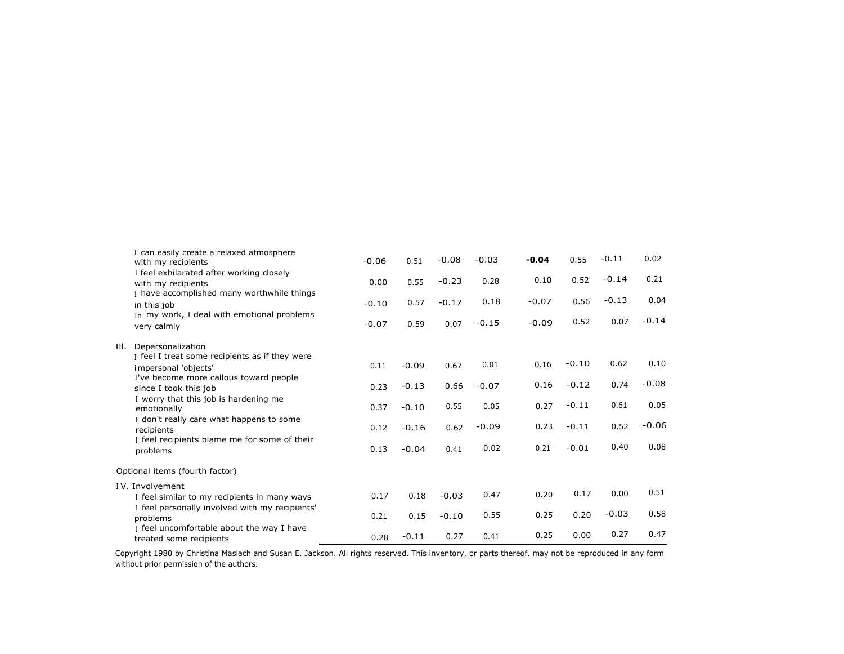| I can easily create a relaxed atmosphere<br>with my recipients         | $-0.06$ | 0.51    | $-0.08$ | $-0.03$ | $-0.04$ | 0.55    | $-0.11$ | 0.02    |
|------------------------------------------------------------------------|---------|---------|---------|---------|---------|---------|---------|---------|
| I feel exhilarated after working closely<br>with my recipients         | 0.00    | 0.55    | $-0.23$ | 0.28    | 0.10    | 0.52    | $-0.14$ | 0.21    |
| 1 have accomplished many worthwhile things<br>in this job              | $-0.10$ | 0.57    | $-0.17$ | 0.18    | $-0.07$ | 0.56    | $-0.13$ | 0.04    |
| In my work, I deal with emotional problems<br>very calmly              | $-0.07$ | 0.59    | 0.07    | $-0.15$ | $-0.09$ | 0.52    | 0.07    | $-0.14$ |
| III.<br>Depersonalization                                              |         |         |         |         |         |         |         |         |
| I feel I treat some recipients as if they were<br>impersonal 'objects' | 0.11    | $-0.09$ | 0.67    | 0.01    | 0.16    | $-0.10$ | 0.62    | 0.10    |
| I've become more callous toward people<br>since I took this job        | 0.23    | $-0.13$ | 0.66    | $-0.07$ | 0.16    | $-0.12$ | 0.74    | $-0.08$ |
| I worry that this job is hardening me<br>emotionally                   | 0.37    | $-0.10$ | 0.55    | 0.05    | 0.27    | $-0.11$ | 0.61    | 0.05    |
| I don't really care what happens to some<br>recipients                 | 0.12    | $-0.16$ | 0.62    | $-0.09$ | 0.23    | $-0.11$ | 0.52    | $-0.06$ |
| I feel recipients blame me for some of their<br>problems               | 0.13    | $-0.04$ | 0.41    | 0.02    | 0.21    | $-0.01$ | 0.40    | 0.08    |
| Optional items (fourth factor)                                         |         |         |         |         |         |         |         |         |
| IV. Involvement<br>I feel similar to my recipients in many ways        | 0.17    | 0.18    | $-0.03$ | 0.47    | 0.20    | 0.17    | 0.00    | 0.51    |
| 1 feel personally involved with my recipients'<br>problems             | 0.21    | 0.15    | $-0.10$ | 0.55    | 0.25    | 0.20    | $-0.03$ | 0.58    |
| 1 feel uncomfortable about the way I have<br>treated some recipients   | 0.28    | $-0.11$ | 0.27    | 0.41    | 0.25    | 0.00    | 0.27    | 0.47    |

Copyright 1980 by Christina Maslach and Susan E. Jackson. All rights reserved. This inventory, or parts thereof. may not be reproduced in any form without prior permission of the authors.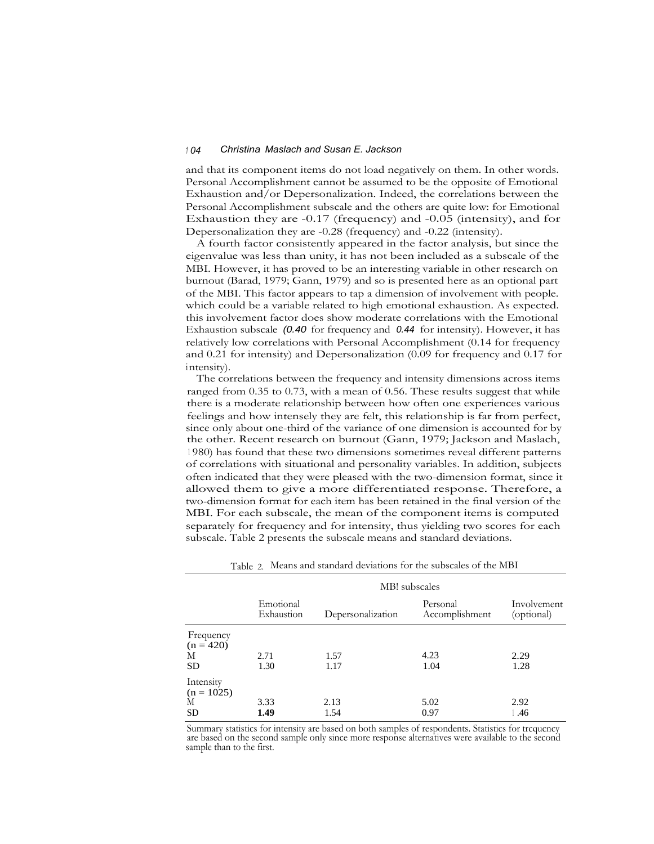#### *<sup>1</sup> 04 Christina Maslach and Susan E. Jackson*

and that its component items do not load negatively on them. In other words. Personal Accomplishment cannot be assumed to be the opposite of Emotional Exhaustion and/or Depersonalization. Indeed, the correlations between the Personal Accomplishment subscale and the others are quite low: for Emotional Exhaustion they are -0.17 (frequency) and -0.05 (intensity), and for Depersonalization they are -0.28 (frequency) and -0.22 (intensity).

A fourth factor consistently appeared in the factor analysis, but since the eigenvalue was less than unity, it has not been included as a subscale of the MBI. However, it has proved to be an interesting variable in other research on burnout (Barad, 1979; Gann, 1979) and so is presented here as an optional part of the MBI. This factor appears to tap a dimension of involvement with people. which could be a variable related to high emotional exhaustion. As expected. this involvement factor does show moderate correlations with the Emotional Exhaustion subscale (0.40 for frequency and 0.44 for intensity). However, it has relatively low correlations with Personal Accomplishment (0.14 for frequency and 0.21 for intensity) and Depersonalization (0.09 for frequency and 0.17 for intensity).

The correlations between the frequency and intensity dimensions across items ranged from 0.35 to 0.73, with a mean of 0.56. These results suggest that while there is a moderate relationship between how often one experiences various feelings and how intensely they are felt, this relationship is far from perfect, since only about one-third of the variance of one dimension is accounted for by the other. Recent research on burnout (Gann, 1979; Jackson and Maslach, <sup>1</sup> 980) has found that these two dimensions sometimes reveal different patterns of correlations with situational and personality variables. In addition, subjects often indicated that they were pleased with the two-dimension format, since it allowed them to give a more differentiated response. Therefore, a two-dimension format for each item has been retained in the final version of the MBI. For each subscale, the mean of the component items is computed separately for frequency and for intensity, thus yielding two scores for each subscale. Table 2 presents the subscale means and standard deviations.

|                           | MB! subscales           |                   |                            |                           |  |  |  |  |  |
|---------------------------|-------------------------|-------------------|----------------------------|---------------------------|--|--|--|--|--|
|                           | Emotional<br>Exhaustion | Depersonalization | Personal<br>Accomplishment | Involvement<br>(optional) |  |  |  |  |  |
| Frequency                 |                         |                   |                            |                           |  |  |  |  |  |
| $(n = 420)$               |                         |                   |                            |                           |  |  |  |  |  |
| М                         | 2.71                    | 1.57              | 4.23                       | 2.29                      |  |  |  |  |  |
| <b>SD</b>                 | 1.30                    | 1.17              | 1.04                       | 1.28                      |  |  |  |  |  |
| Intensity<br>$(n = 1025)$ |                         |                   |                            |                           |  |  |  |  |  |
| М                         | 3.33                    | 2.13              | 5.02                       | 2.92                      |  |  |  |  |  |
| <b>SD</b>                 | 1.49                    | 1.54              | 0.97                       | .46                       |  |  |  |  |  |

Table 2. Means and standard deviations for the subscales of the MBI

Summary statistics for intensity are based on both samples of respondents. Statistics for trcqucncy are based on the second sample only since more response alternatives were available to the second sample than to the first.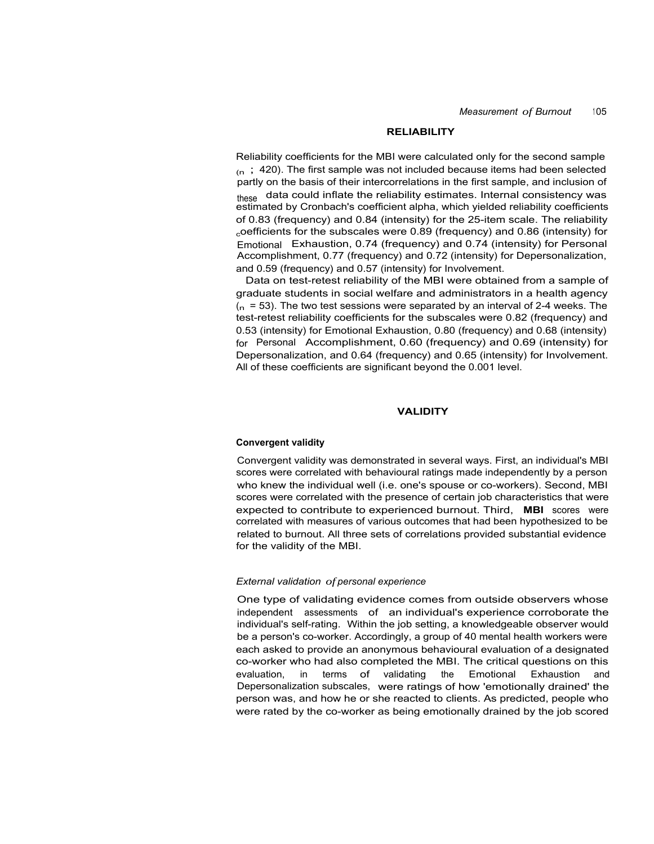# **RELIABILITY**

Reliability coefficients for the MBI were calculated only for the second sample  $(n; 420)$ . The first sample was not included because items had been selected partly on the basis of their intercorrelations in the first sample, and inclusion of these data could inflate the reliability estimates. Internal consistency was estimated by Cronbach's coefficient alpha, which yielded reliability coefficients of 0.83 (frequency) and 0.84 (intensity) for the 25-item scale. The reliability c oefficients for the subscales were 0.89 (frequency) and 0.86 (intensity) for Emotional Exhaustion, 0.74 (frequency) and 0.74 (intensity) for Personal Accomplishment, 0.77 (frequency) and 0.72 (intensity) for Depersonalization, and 0.59 (frequency) and 0.57 (intensity) for Involvement.

Data on test-retest reliability of the MBI were obtained from a sample of graduate students in social welfare and administrators in a health agency  $(n = 53)$ . The two test sessions were separated by an interval of 2-4 weeks. The test-retest reliability coefficients for the subscales were 0.82 (frequency) and 0.53 (intensity) for Emotional Exhaustion, 0.80 (frequency) and 0.68 (intensity) for Personal Accomplishment, 0.60 (frequency) and 0.69 (intensity) for Depersonalization, and 0.64 (frequency) and 0.65 (intensity) for Involvement. All of these coefficients are significant beyond the 0.001 level.

# **VALIDITY**

## **Convergent validity**

Convergent validity was demonstrated in several ways. First, an individual's MBI scores were correlated with behavioural ratings made independently by a person who knew the individual well (i.e. one's spouse or co-workers). Second, MBI scores were correlated with the presence of certain job characteristics that were expected to contribute to experienced burnout. Third, **MBI** scores were correlated with measures of various outcomes that had been hypothesized to be related to burnout. All three sets of correlations provided substantial evidence for the validity of the MBI.

#### *External validation ofpersonal experience*

One type of validating evidence comes from outside observers whose independent assessments of an individual's experience corroborate the individual's self-rating. Within the job setting, a knowledgeable observer would be a person's co-worker. Accordingly, a group of 40 mental health workers were each asked to provide an anonymous behavioural evaluation of a designated co-worker who had also completed the MBI. The critical questions on this evaluation, in terms of validating the Emotional Exhaustion and Depersonalization subscales, were ratings of how 'emotionally drained' the person was, and how he or she reacted to clients. As predicted, people who were rated by the co-worker as being emotionally drained by the job scored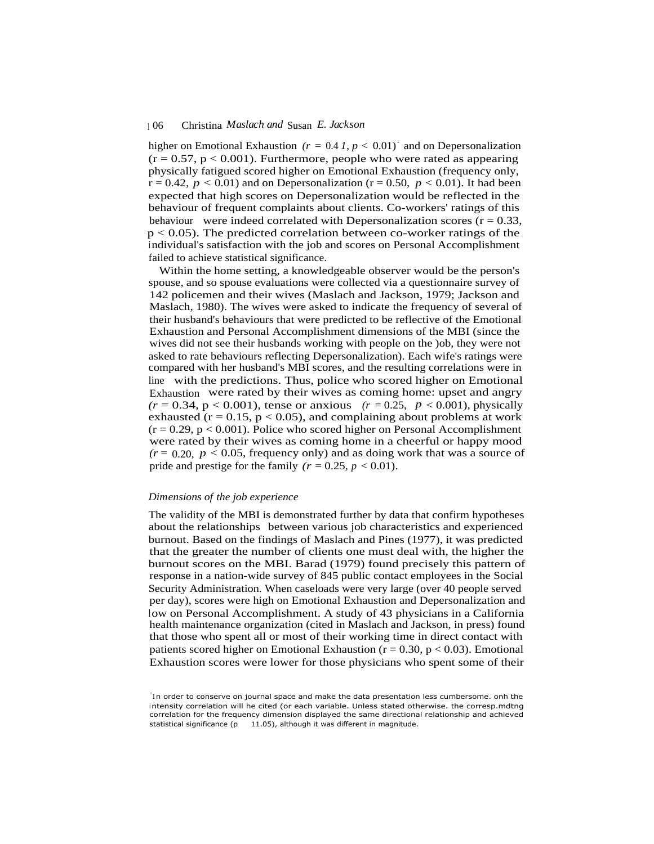# <sup>1</sup> 06 Christina *Maslach and* Susan *E. Jackson*

higher on Emotional Exhaustion  $(r = 0.4 \, I, p < 0.01)^{2}$  and on Depersonalization  $(r = 0.57, p < 0.001)$ . Furthermore, people who were rated as appearing physically fatigued scored higher on Emotional Exhaustion (frequency only,  $r = 0.42$ ,  $p < 0.01$  and on Depersonalization ( $r = 0.50$ ,  $p < 0.01$ ). It had been expected that high scores on Depersonalization would be reflected in the behaviour of frequent complaints about clients. Co-workers' ratings of this behaviour were indeed correlated with Depersonalization scores  $(r = 0.33)$ ,  $p < 0.05$ ). The predicted correlation between co-worker ratings of the individual's satisfaction with the job and scores on Personal Accomplishment failed to achieve statistical significance.

Within the home setting, a knowledgeable observer would be the person's spouse, and so spouse evaluations were collected via a questionnaire survey of 142 policemen and their wives (Maslach and Jackson, 1979; Jackson and Maslach, 1980). The wives were asked to indicate the frequency of several of their husband's behaviours that were predicted to be reflective of the Emotional Exhaustion and Personal Accomplishment dimensions of the MBI (since the wives did not see their husbands working with people on the )ob, they were not asked to rate behaviours reflecting Depersonalization). Each wife's ratings were compared with her husband's MBI scores, and the resulting correlations were in line with the predictions. Thus, police who scored higher on Emotional Exhaustion were rated by their wives as coming home: upset and angry  $(r = 0.34, p < 0.001)$ , tense or anxious  $(r = 0.25, p < 0.001)$ , physically exhausted ( $r = 0.15$ ,  $p < 0.05$ ), and complaining about problems at work  $(r = 0.29, p < 0.001)$ . Police who scored higher on Personal Accomplishment were rated by their wives as coming home in a cheerful or happy mood  $(r = 0.20, p < 0.05$ , frequency only) and as doing work that was a source of pride and prestige for the family  $(r = 0.25, p < 0.01)$ .

# *Dimensions of the job experience*

The validity of the MBI is demonstrated further by data that confirm hypotheses about the relationships between various job characteristics and experienced burnout. Based on the findings of Maslach and Pines (1977), it was predicted that the greater the number of clients one must deal with, the higher the burnout scores on the MBI. Barad (1979) found precisely this pattern of response in a nation-wide survey of 845 public contact employees in the Social Security Administration. When caseloads were very large (over 40 people served per day), scores were high on Emotional Exhaustion and Depersonalization and low on Personal Accomplishment. A study of 43 physicians in a California health maintenance organization (cited in Maslach and Jackson, in press) found that those who spent all or most of their working time in direct contact with patients scored higher on Emotional Exhaustion ( $r = 0.30$ ,  $p < 0.03$ ). Emotional Exhaustion scores were lower for those physicians who spent some of their

In order to conserve on journal space and make the data presentation less cumbersome. onh the <sup>i</sup> ntensity correlation will he cited (or each variable. Unless stated otherwise. the corresp.mdtng correlation for the frequency dimension displayed the same directional relationship and achieved statistical significance (p 11.05), although it was different in magnitude.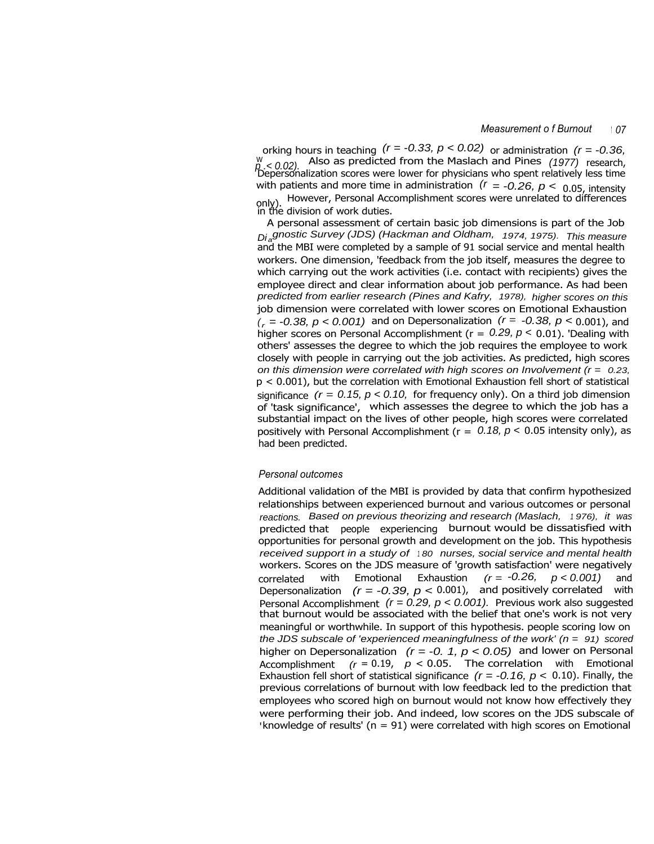## *Measurement o f Burnout <sup>1</sup> 07*

W orking hours in teaching  $(r = -0.33, p < 0.02)$  or administration  $(r = -0.36, p < 0.02)$  $p = 0.02$ . Also as predicted from the Maslach and Pines (1977) research, p.< 0.02). The case of the cores were lower for physicians who spent relatively less time with patients and more time in administration  $(r = -0.26, p < 0.05,$  intensity However, Personal Accomplishment scores were unrelated to differences only). However, rersonal According the division of work duties.

A personal assessment of certain basic job dimensions is part of the Job Di<sub>a</sub>gnostic Survey (JDS) (Hackman and Oldham, 1974, 1975). This measure and the MBI were completed by a sample of 91 social service and mental health workers. One dimension, 'feedback from the job itself, measures the degree to which carrying out the work activities (i.e. contact with recipients) gives the employee direct and clear information about job performance. As had been predicted from earlier research (Pines and Kafry, 1978), higher scores on this job dimension were correlated with lower scores on Emotional Exhaustion  $(r = -0.38, p < 0.001)$  and on Depersonalization  $(r = -0.38, p < 0.001)$ , and higher scores on Personal Accomplishment ( $r = 0.29$ ,  $p < 0.01$ ). 'Dealing with others' assesses the degree to which the job requires the employee to work closely with people in carrying out the job activities. As predicted, high scores on this dimension were correlated with high scores on Involvement  $(r = 0.23, r = 0.05)$ p < 0.001), but the correlation with Emotional Exhaustion fell short of statistical significance  $(r = 0.15, p < 0.10,$  for frequency only). On a third job dimension of 'task significance', which assesses the degree to which the job has a substantial impact on the lives of other people, high scores were correlated positively with Personal Accomplishment ( $r = 0.18$ ,  $p < 0.05$  intensity only), as had been predicted.

### *Personal outcomes*

Additional validation of the MBI is provided by data that confirm hypothesized relationships between experienced burnout and various outcomes or personal reactions. Based on previous theorizing and research (Maslach, <sup>1</sup> 976), it was predicted that people experiencing burnout would be dissatisfied with opportunities for personal growth and development on the job. This hypothesis received support in a study of 180 nurses, social service and mental health workers. Scores on the JDS measure of 'growth satisfaction' were negatively correlated with Emotional Exhaustion  $(r = -0.26, p < 0.001)$  and Depersonalization  $(r = -0.39, p < 0.001)$ , and positively correlated with Personal Accomplishment  $(r = 0.29, p < 0.001)$ . Previous work also suggested that burnout would be associated with the belief that one's work is not very meaningful or worthwhile. In support of this hypothesis. people scoring low on the JDS subscale of 'experienced meaningfulness of the work'  $(n = 91)$  scored higher on Depersonalization  $(r = -0. 1, p < 0.05)$  and lower on Personal Accomplishment  $(r = 0.19, p < 0.05$ . The correlation with Emotional Exhaustion fell short of statistical significance  $(r = -0.16, p < 0.10)$ . Finally, the previous correlations of burnout with low feedback led to the prediction that employees who scored high on burnout would not know how effectively they were performing their job. And indeed, low scores on the JDS subscale of 'knowledge of results' (n = 91) were correlated with high scores on Emotional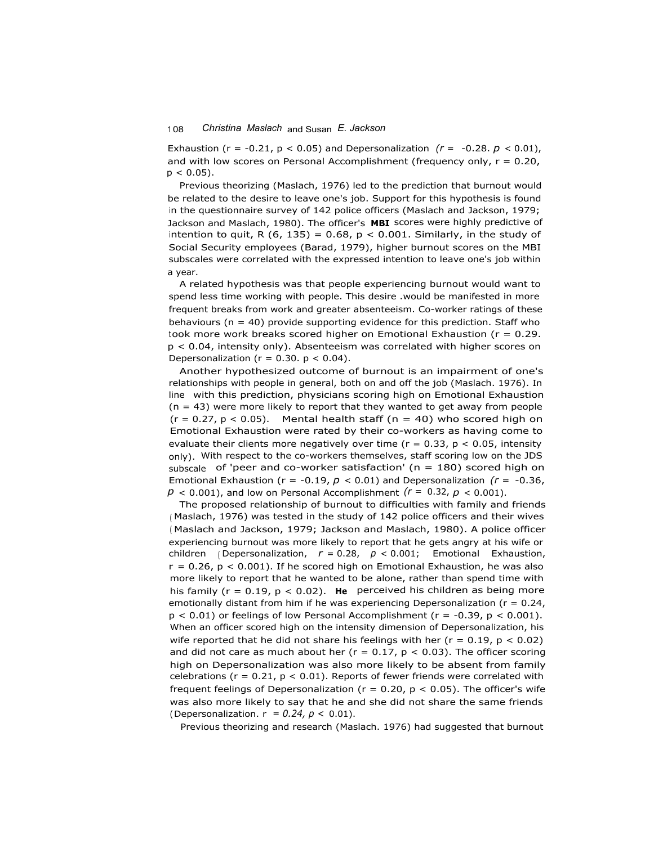#### <sup>1</sup> 08 *Christina Maslach* and Susan *E. Jackson*

Exhaustion ( $r = -0.21$ ,  $p < 0.05$ ) and Depersonalization ( $r = -0.28$ ,  $p < 0.01$ ), and with low scores on Personal Accomplishment (frequency only,  $r = 0.20$ ,  $p < 0.05$ ).

Previous theorizing (Maslach, 1976) led to the prediction that burnout would be related to the desire to leave one's job. Support for this hypothesis is found in the questionnaire survey of 142 police officers (Maslach and Jackson, 1979; Jackson and Maslach, 1980). The officer's **MBI** scores were highly predictive of intention to quit, R  $(6, 135) = 0.68$ ,  $p < 0.001$ . Similarly, in the study of Social Security employees (Barad, 1979), higher burnout scores on the MBI subscales were correlated with the expressed intention to leave one's job within a year.

A related hypothesis was that people experiencing burnout would want to spend less time working with people. This desire .would be manifested in more frequent breaks from work and greater absenteeism. Co-worker ratings of these behaviours ( $n = 40$ ) provide supporting evidence for this prediction. Staff who took more work breaks scored higher on Emotional Exhaustion (r = 0.29. p < 0.04, intensity only). Absenteeism was correlated with higher scores on Depersonalization ( $r = 0.30$ .  $p < 0.04$ ).

Another hypothesized outcome of burnout is an impairment of one's relationships with people in general, both on and off the job (Maslach. 1976). In line with this prediction, physicians scoring high on Emotional Exhaustion (n = 43) were more likely to report that they wanted to get away from people  $(r = 0.27, p < 0.05)$ . Mental health staff  $(n = 40)$  who scored high on Emotional Exhaustion were rated by their co-workers as having come to evaluate their clients more negatively over time ( $r = 0.33$ ,  $p < 0.05$ , intensity only). With respect to the co-workers themselves, staff scoring low on the JDS subscale of 'peer and co-worker satisfaction' ( $n = 180$ ) scored high on Emotional Exhaustion (r = -0.19, *p* < 0.01) and Depersonalization *(r =* -0.36,  $p < 0.001$ ), and low on Personal Accomplishment  $(r = 0.32, p < 0.001)$ .

The proposed relationship of burnout to difficulties with family and friends ( Maslach, 1976) was tested in the study of 142 police officers and their wives ( Maslach and Jackson, 1979; Jackson and Maslach, 1980). A police officer experiencing burnout was more likely to report that he gets angry at his wife or children ( Depersonalization,  $r = 0.28$ ,  $p < 0.001$ ; Emotional Exhaustion,  $r = 0.26$ ,  $p < 0.001$ ). If he scored high on Emotional Exhaustion, he was also more likely to report that he wanted to be alone, rather than spend time with his family (r = 0.19, p < 0.02). **He** perceived his children as being more emotionally distant from him if he was experiencing Depersonalization ( $r = 0.24$ ,  $p < 0.01$ ) or feelings of low Personal Accomplishment ( $r = -0.39$ ,  $p < 0.001$ ). When an officer scored high on the intensity dimension of Depersonalization, his wife reported that he did not share his feelings with her ( $r = 0.19$ ,  $p < 0.02$ ) and did not care as much about her ( $r = 0.17$ ,  $p < 0.03$ ). The officer scoring high on Depersonalization was also more likely to be absent from family celebrations ( $r = 0.21$ ,  $p < 0.01$ ). Reports of fewer friends were correlated with frequent feelings of Depersonalization ( $r = 0.20$ ,  $p < 0.05$ ). The officer's wife was also more likely to say that he and she did not share the same friends (Depersonalization. r *= 0.24, p <* 0.01).

Previous theorizing and research (Maslach. 1976) had suggested that burnout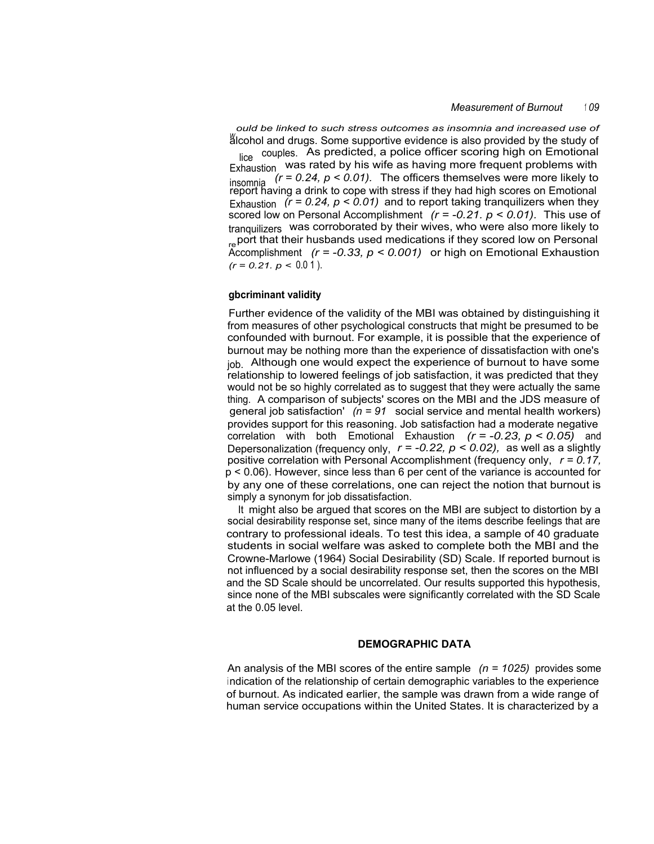## *Measurement of Burnout <sup>1</sup> 09*

*W* alcohol and drugs. Some supportive evidence is also provided by the study of *ould be linked to such stress outcomes as insomnia and increased use of*

lice couples. As predicted, a police officer scoring high on Emotional Exhaustion was rated by his wife as having more frequent problems with insomnia  $(r = 0.24, p < 0.01)$ . The officers themselves were more likely to report having a drink to cope with stress if they had high scores on Emotional Exhaustion  $(r = 0.24, p < 0.01)$  and to report taking tranquilizers when they scored low on Personal Accomplishment *(r = -0.21. p < 0.01).* This use of tranquilizers was corroborated by their wives, who were also more likely to report that their husbands used medications if they scored low on Personal Accomplishment *(r = -0.33, p < 0.001)* or high on Emotional Exhaustion  $(r = 0.21, p < 0.01)$ .

# **gbcriminant validity**

Further evidence of the validity of the MBI was obtained by distinguishing it from measures of other psychological constructs that might be presumed to be confounded with burnout. For example, it is possible that the experience of burnout may be nothing more than the experience of dissatisfaction with one's job. Although one would expect the experience of burnout to have some relationship to lowered feelings of job satisfaction, it was predicted that they would not be so highly correlated as to suggest that they were actually the same thing. A comparison of subjects' scores on the MBI and the JDS measure of general job satisfaction' *(n = 91* social service and mental health workers) provides support for this reasoning. Job satisfaction had a moderate negative correlation with both Emotional Exhaustion *(r = -0.23, p < 0.05)* and Depersonalization (frequency only,  $r = -0.22$ ,  $p < 0.02$ ), as well as a slightly positive correlation with Personal Accomplishment (frequency only, *r = 0.17,* p < 0.06). However, since less than 6 per cent of the variance is accounted for by any one of these correlations, one can reject the notion that burnout is simply a synonym for job dissatisfaction.

It might also be argued that scores on the MBI are subject to distortion by a social desirability response set, since many of the items describe feelings that are contrary to professional ideals. To test this idea, a sample of 40 graduate students in social welfare was asked to complete both the MBI and the Crowne-Marlowe (1964) Social Desirability (SD) Scale. If reported burnout is not influenced by a social desirability response set, then the scores on the MBI and the SD Scale should be uncorrelated. Our results supported this hypothesis, since none of the MBI subscales were significantly correlated with the SD Scale at the 0.05 level.

### **DEMOGRAPHIC DATA**

An analysis of the MBI scores of the entire sample *(n = 1025)* provides some indication of the relationship of certain demographic variables to the experience of burnout. As indicated earlier, the sample was drawn from a wide range of human service occupations within the United States. It is characterized by a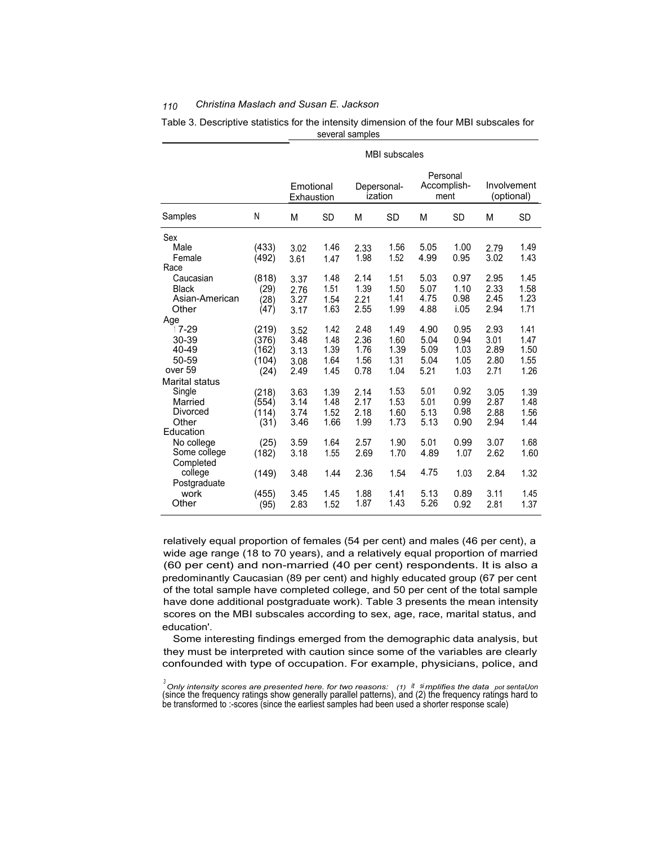# *110 Christina Maslach and Susan E. Jackson*

Table 3. Descriptive statistics for the intensity dimension of the four MBI subscales for several samples

|                                                                              |                                          | <b>MBI</b> subscales                 |                                      |                                      |                                      |                                      |                                      |                                      |                                      |
|------------------------------------------------------------------------------|------------------------------------------|--------------------------------------|--------------------------------------|--------------------------------------|--------------------------------------|--------------------------------------|--------------------------------------|--------------------------------------|--------------------------------------|
|                                                                              |                                          | Emotional<br>Exhaustion              |                                      | Depersonal-<br>ization               |                                      | Personal<br>Accomplish-<br>ment      |                                      | Involvement<br>(optional)            |                                      |
| Samples                                                                      | N                                        | М                                    | <b>SD</b>                            | М                                    | <b>SD</b>                            | M                                    | <b>SD</b>                            | М                                    | <b>SD</b>                            |
| Sex<br>Male<br>Female<br>Race                                                | (433)<br>(492)                           | 3.02<br>3.61                         | 1.46<br>1.47                         | 2.33<br>1.98                         | 1.56<br>1.52                         | 5.05<br>4.99                         | 1.00<br>0.95                         | 2.79<br>3.02                         | 1.49<br>1.43                         |
| Caucasian<br><b>Black</b><br>Asian-American<br>Other                         | (818)<br>(29)<br>(28)<br>(47)            | 3.37<br>2.76<br>3.27<br>3.17         | 1.48<br>1.51<br>1.54<br>1.63         | 2.14<br>1.39<br>2.21<br>2.55         | 1.51<br>1.50<br>1.41<br>1.99         | 5.03<br>5.07<br>4.75<br>4.88         | 0.97<br>1.10<br>0.98<br>i.05         | 2.95<br>2.33<br>2.45<br>2.94         | 1.45<br>1.58<br>1.23<br>1.71         |
| Age<br>7-29<br>30-39<br>40-49<br>50-59<br>over 59                            | (219)<br>(376)<br>(162)<br>(104)<br>(24) | 3.52<br>3.48<br>3.13<br>3.08<br>2.49 | 1.42<br>1.48<br>1.39<br>1.64<br>1.45 | 2.48<br>2.36<br>1.76<br>1.56<br>0.78 | 1.49<br>1.60<br>1.39<br>1.31<br>1.04 | 4.90<br>5.04<br>5.09<br>5.04<br>5.21 | 0.95<br>0.94<br>1.03<br>1.05<br>1.03 | 2.93<br>3.01<br>2.89<br>2.80<br>2.71 | 1.41<br>1.47<br>1.50<br>1.55<br>1.26 |
| <b>Marital status</b><br>Single<br>Married<br>Divorced<br>Other<br>Education | (218)<br>(554)<br>(114)<br>(31)          | 3.63<br>3.14<br>3.74<br>3.46         | 1.39<br>1.48<br>1.52<br>1.66         | 2.14<br>2.17<br>2.18<br>1.99         | 1.53<br>1.53<br>1.60<br>1.73         | 5.01<br>5.01<br>5.13<br>5.13         | 0.92<br>0.99<br>0.98<br>0.90         | 3.05<br>2.87<br>2.88<br>2.94         | 1.39<br>1.48<br>1.56<br>1.44         |
| No college<br>Some college<br>Completed                                      | (25)<br>(182)                            | 3.59<br>3.18                         | 1.64<br>1.55                         | 2.57<br>2.69                         | 1.90<br>1.70                         | 5.01<br>4.89                         | 0.99<br>1.07                         | 3.07<br>2.62                         | 1.68<br>1.60                         |
| college<br>Postgraduate<br>work<br>Other                                     | (149)<br>(455)<br>(95)                   | 3.48<br>3.45<br>2.83                 | 1.44<br>1.45<br>1.52                 | 2.36<br>1.88<br>1.87                 | 1.54<br>1.41<br>1.43                 | 4.75<br>5.13<br>5.26                 | 1.03<br>0.89<br>0.92                 | 2.84<br>3.11<br>2.81                 | 1.32<br>1.45<br>1.37                 |

relatively equal proportion of females (54 per cent) and males (46 per cent), a wide age range (18 to 70 years), and a relatively equal proportion of married (60 per cent) and non-married (40 per cent) respondents. It is also a predominantly Caucasian (89 per cent) and highly educated group (67 per cent of the total sample have completed college, and 50 per cent of the total sample have done additional postgraduate work). Table 3 presents the mean intensity scores on the MBI subscales according to sex, age, race, marital status, and education'.

Some interesting findings emerged from the demographic data analysis, but they must be interpreted with caution since some of the variables are clearly confounded with type of occupation. For example, physicians, police, and

 $\degree$ Only intensity scores are presented here. for two reasons: (1) it simplifies the data pot sentaUon<br>(since the frequency ratings show generally parallel patterns), and (2) the frequency ratings hard to be transformed to :-scores (since the earliest samples had been used a shorter response scale)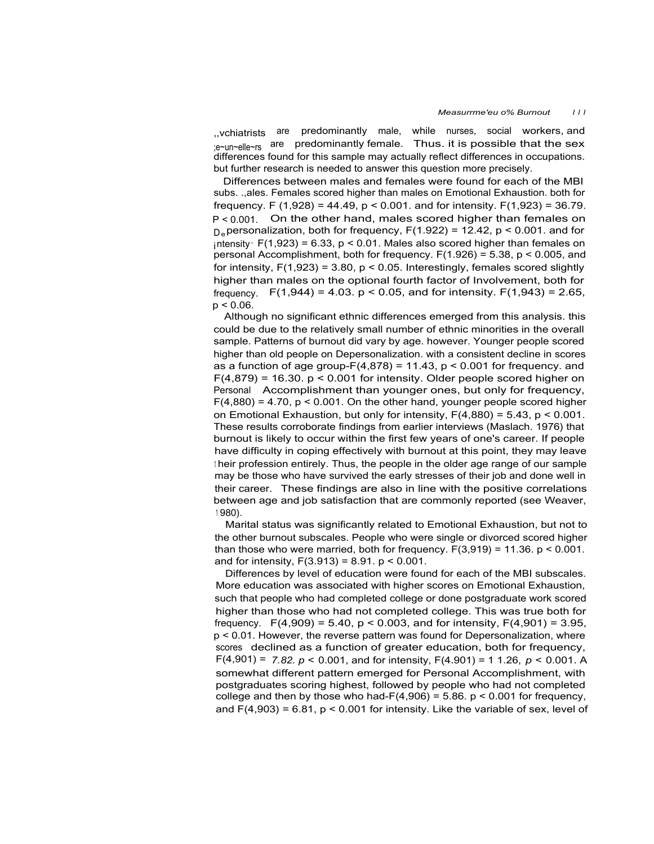,,vchiatrists are predominantly male, while nurses, social workers, and :e~un~elle~rs are predominantly female. Thus. it is possible that the sex differences found for this sample may actually reflect differences in occupations. but further research is needed to answer this question more precisely.

Differences between males and females were found for each of the MBI subs. .,ales. Females scored higher than males on Emotional Exhaustion. both for frequency. F (1,928) = 44.49,  $p < 0.001$ . and for intensity. F(1,923) = 36.79. P < 0.001. On the other hand, males scored higher than females on  $\overline{\mathsf{D}}_{\mathsf{e}}$  personalization, both for frequency, F(1.922) = 12.42, <code>p</code> < 0.001. and for i  $\widetilde{\mathsf{h}}$  rensity<sup>,</sup> F(1,923) = 6.33, p < 0.01. Males also scored higher than females on personal Accomplishment, both for frequency. F(1.926) = 5.38, p < 0.005, and for intensity,  $F(1,923) = 3.80$ ,  $p < 0.05$ . Interestingly, females scored slightly higher than males on the optional fourth factor of Involvement, both for frequency.  $F(1,944) = 4.03$ .  $p < 0.05$ , and for intensity.  $F(1,943) = 2.65$ ,  $p < 0.06$ .

Although no significant ethnic differences emerged from this analysis. this could be due to the relatively small number of ethnic minorities in the overall sample. Patterns of burnout did vary by age. however. Younger people scored higher than old people on Depersonalization. with a consistent decline in scores as a function of age group- $F(4,878) = 11.43$ ,  $p < 0.001$  for frequency. and  $F(4,879) = 16.30$ .  $p < 0.001$  for intensity. Older people scored higher on Personal Accomplishment than younger ones, but only for frequency,  $F(4,880) = 4.70$ ,  $p < 0.001$ . On the other hand, younger people scored higher on Emotional Exhaustion, but only for intensity,  $F(4,880) = 5.43$ ,  $p < 0.001$ . These results corroborate findings from earlier interviews (Maslach. 1976) that burnout is likely to occur within the first few years of one's career. If people have difficulty in coping effectively with burnout at this point, they may leave <sup>t</sup> heir profession entirely. Thus, the people in the older age range of our sample may be those who have survived the early stresses of their job and done well in their career. These findings are also in line with the positive correlations between age and job satisfaction that are commonly reported (see Weaver, <sup>1</sup> 980).

Marital status was significantly related to Emotional Exhaustion, but not to the other burnout subscales. People who were single or divorced scored higher than those who were married, both for frequency.  $F(3,919) = 11.36$ .  $p < 0.001$ . and for intensity,  $F(3.913) = 8.91$ .  $p < 0.001$ .

Differences by level of education were found for each of the MBI subscales. More education was associated with higher scores on Emotional Exhaustion, such that people who had completed college or done postgraduate work scored higher than those who had not completed college. This was true both for frequency.  $F(4,909) = 5.40$ ,  $p < 0.003$ , and for intensity,  $F(4,901) = 3.95$ , p < 0.01. However, the reverse pattern was found for Depersonalization, where scores declined as a function of greater education, both for frequency, F(4,901) = *7.82. p <* 0.001, and for intensity, F(4.901) = 1 1.26, *p <* 0.001. A somewhat different pattern emerged for Personal Accomplishment, with postgraduates scoring highest, followed by people who had not completed college and then by those who had- $F(4,906) = 5.86$ .  $p < 0.001$  for frequency, and  $F(4,903) = 6.81$ ,  $p < 0.001$  for intensity. Like the variable of sex, level of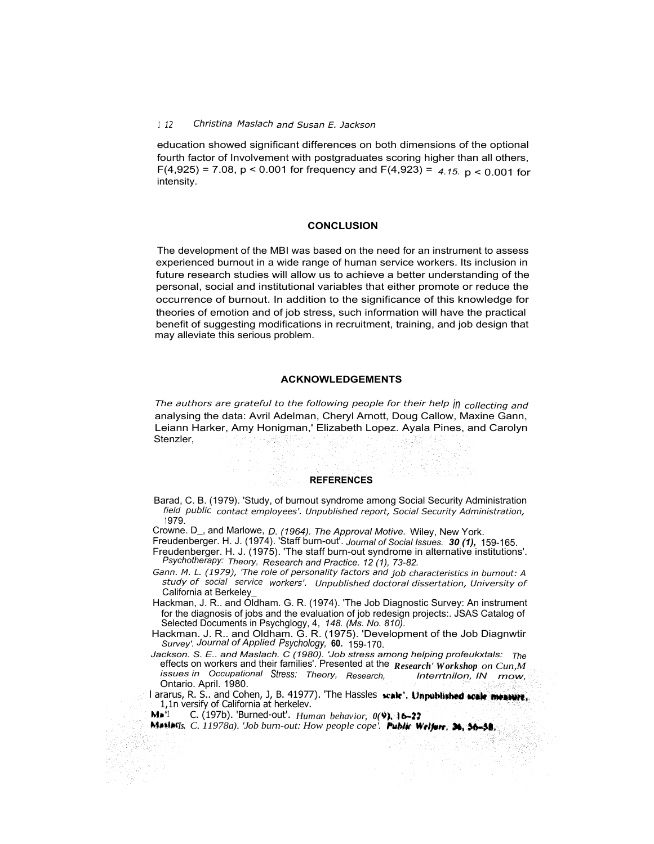education showed significant differences on both dimensions of the optional fourth factor of Involvement with postgraduates scoring higher than all others,  $F(4,925) = 7.08$ ,  $p < 0.001$  for frequency and  $F(4,923) = 4.15$ .  $p < 0.001$  for intensity.

# **CONCLUSION**

The development of the MBI was based on the need for an instrument to assess experienced burnout in a wide range of human service workers. Its inclusion in future research studies will allow us to achieve a better understanding of the personal, social and institutional variables that either promote or reduce the occurrence of burnout. In addition to the significance of this knowledge for theories of emotion and of job stress, such information will have the practical benefit of suggesting modifications in recruitment, training, and job design that may alleviate this serious problem.

## **ACKNOWLEDGEMENTS**

*The authors are grateful to the following people for their help in collecting and* analysing the data: Avril Adelman, Cheryl Arnott, Doug Callow, Maxine Gann, Leiann Harker, Amy Honigman,' Elizabeth Lopez. Ayala Pines, and Carolyn Stenzler,

#### **REFERENCES**

Barad, C. B. (1979). 'Study, of burnout syndrome among Social Security Administration *field public contact employees'. Unpublished report, Social Security Administration,* <sup>1</sup> 979.

Crowne. D\_, and Marlowe, *D. (1964). The Approval Motive.* Wiley, New York.

- Freudenberger. H. J. (1974). 'Staff burn-out'. *Journal of Social Issues. 30 (1),* 159-165. Freudenberger. H. J. (1975). 'The staff burn-out syndrome in alternative institutions'.
- *Psychotherapy: Theory, Research and Practice. 12 (1), 73-82. Gann. M. L. (1979), 'The role of personality factors and job characteristics in burnout: A study of social service workers'. Unpublished doctoral dissertation, University of* California at Berkeley\_
- Hackman, J. R.. and Oldham. G. R. (1974). 'The Job Diagnostic Survey: An instrument for the diagnosis of jobs and the evaluation of job redesign projects:. JSAS Catalog of Selected Documents in Psychglogy, 4, *148. (Ms. No. 810).*
- Hackman. J. R.. and Oldham. G. R. (1975). 'Development of the Job Diagnwtir *Survey'. Journal of Applied Psychology,* **60.** 159-170.
- *Jackson. S. E.. and Maslach. C (1980). 'Job stress among helping profeukxtals: The* effects on workers and their families'. Presented at the *Research' Workshop on Cun, M* issues in Occupational Stress: Theory, Research, Interrtnilon, IN mow, *issues in Occupational Stress: Theory, Research,* Ontario. April. 1980.

I ararus, R. S.. and Cohen, J, B. 41977). 'The Hassles scale', Unpublished scale measure. 1,1n versify of California at herkelev.

*\*1* C. (197b). 'Burned-out'. *Human behavior, 0(*

**Maslasts.** C. 11978a). 'Job burn-out: How people cope'. **Public Welfare, 24, 36-38**;